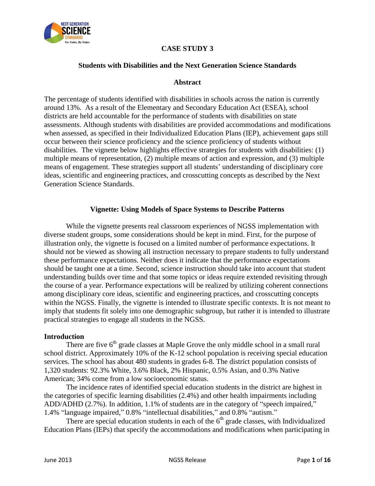

# **CASE STUDY 3**

## **Students with Disabilities and the Next Generation Science Standards**

#### **Abstract**

The percentage of students identified with disabilities in schools across the nation is currently around 13%. As a result of the Elementary and Secondary Education Act (ESEA), school districts are held accountable for the performance of students with disabilities on state assessments. Although students with disabilities are provided accommodations and modifications when assessed, as specified in their Individualized Education Plans (IEP), achievement gaps still occur between their science proficiency and the science proficiency of students without disabilities. The vignette below highlights effective strategies for students with disabilities: (1) multiple means of representation, (2) multiple means of action and expression, and (3) multiple means of engagement. These strategies support all students' understanding of disciplinary core ideas, scientific and engineering practices, and crosscutting concepts as described by the Next Generation Science Standards.

# **Vignette: Using Models of Space Systems to Describe Patterns**

While the vignette presents real classroom experiences of NGSS implementation with diverse student groups, some considerations should be kept in mind. First, for the purpose of illustration only, the vignette is focused on a limited number of performance expectations. It should not be viewed as showing all instruction necessary to prepare students to fully understand these performance expectations. Neither does it indicate that the performance expectations should be taught one at a time. Second, science instruction should take into account that student understanding builds over time and that some topics or ideas require extended revisiting through the course of a year. Performance expectations will be realized by utilizing coherent connections among disciplinary core ideas, scientific and engineering practices, and crosscutting concepts within the NGSS. Finally, the vignette is intended to illustrate specific contexts. It is not meant to imply that students fit solely into one demographic subgroup, but rather it is intended to illustrate practical strategies to engage all students in the NGSS.

## **Introduction**

There are five 6<sup>th</sup> grade classes at Maple Grove the only middle school in a small rural school district. Approximately 10% of the K-12 school population is receiving special education services. The school has about 480 students in grades 6-8. The district population consists of 1,320 students: 92.3% White, 3.6% Black, 2% Hispanic, 0.5% Asian, and 0.3% Native American; 34% come from a low socioeconomic status.

The incidence rates of identified special education students in the district are highest in the categories of specific learning disabilities (2.4%) and other health impairments including ADD/ADHD (2.7%). In addition, 1.1% of students are in the category of "speech impaired," 1.4% "language impaired," 0.8% "intellectual disabilities," and 0.8% "autism."

There are special education students in each of the  $6<sup>th</sup>$  grade classes, with Individualized Education Plans (IEPs) that specify the accommodations and modifications when participating in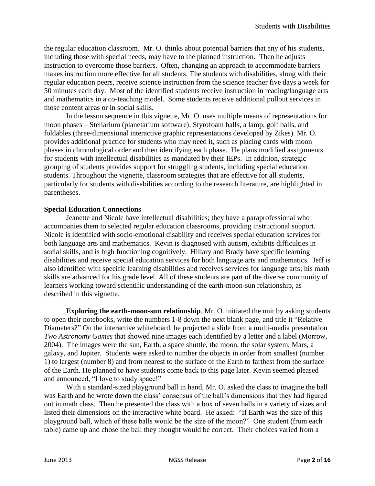the regular education classroom. Mr. O. thinks about potential barriers that any of his students, including those with special needs, may have to the planned instruction. Then he adjusts instruction to overcome those barriers. Often, changing an approach to accommodate barriers makes instruction more effective for all students. The students with disabilities, along with their regular education peers, receive science instruction from the science teacher five days a week for 50 minutes each day. Most of the identified students receive instruction in reading/language arts and mathematics in a co-teaching model. Some students receive additional pullout services in those content areas or in social skills.

In the lesson sequence in this vignette, Mr. O. uses multiple means of representations for moon phases – Stellarium (planetarium software), Styrofoam balls, a lamp, golf balls, and foldables (three-dimensional interactive graphic representations developed by Zikes). Mr. O. provides additional practice for students who may need it, such as placing cards with moon phases in chronological order and then identifying each phase. He plans modified assignments for students with intellectual disabilities as mandated by their IEPs. In addition, strategic grouping of students provides support for struggling students, including special education students. Throughout the vignette, classroom strategies that are effective for all students, particularly for students with disabilities according to the research literature, are highlighted in parentheses.

# **Special Education Connections**

Jeanette and Nicole have intellectual disabilities; they have a paraprofessional who accompanies them to selected regular education classrooms, providing instructional support. Nicole is identified with socio-emotional disability and receives special education services for both language arts and mathematics. Kevin is diagnosed with autism, exhibits difficulties in social skills, and is high functioning cognitively. Hillary and Brady have specific learning disabilities and receive special education services for both language arts and mathematics. Jeff is also identified with specific learning disabilities and receives services for language arts; his math skills are advanced for his grade level. All of these students are part of the diverse community of learners working toward scientific understanding of the earth-moon-sun relationship, as described in this vignette.

**Exploring the earth-moon-sun relationship**. Mr. O. initiated the unit by asking students to open their notebooks, write the numbers 1-8 down the next blank page, and title it "Relative Diameters?" On the interactive whiteboard, he projected a slide from a multi-media presentation *Two Astronomy Games* that showed nine images each identified by a letter and a label (Morrow, 2004). The images were the sun, Earth, a space shuttle, the moon, the solar system, Mars, a galaxy, and Jupiter. Students were asked to number the objects in order from smallest (number 1) to largest (number 8) and from nearest to the surface of the Earth to farthest from the surface of the Earth. He planned to have students come back to this page later. Kevin seemed pleased and announced, "I love to study space!"

With a standard-sized playground ball in hand, Mr. O. asked the class to imagine the ball was Earth and he wrote down the class' consensus of the ball's dimensions that they had figured out in math class. Then he presented the class with a box of seven balls in a variety of sizes and listed their dimensions on the interactive white board. He asked: "If Earth was the size of this playground ball, which of these balls would be the size of the moon?" One student (from each table) came up and chose the ball they thought would be correct. Their choices varied from a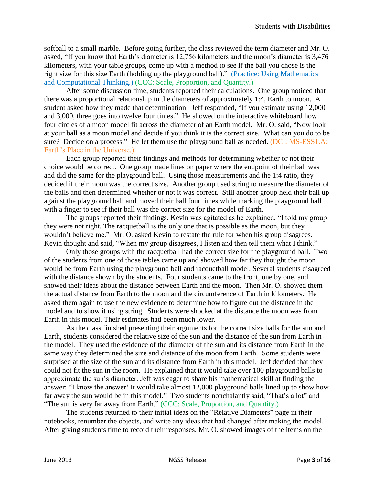softball to a small marble. Before going further, the class reviewed the term diameter and Mr. O. asked, "If you know that Earth's diameter is 12,756 kilometers and the moon's diameter is 3,476 kilometers, with your table groups, come up with a method to see if the ball you chose is the right size for this size Earth (holding up the playground ball)." (Practice: Using Mathematics and Computational Thinking.) (CCC: Scale, Proportion, and Quantity.)

After some discussion time, students reported their calculations. One group noticed that there was a proportional relationship in the diameters of approximately 1:4, Earth to moon. A student asked how they made that determination. Jeff responded, "If you estimate using 12,000 and 3,000, three goes into twelve four times." He showed on the interactive whiteboard how four circles of a moon model fit across the diameter of an Earth model. Mr. O. said, "Now look at your ball as a moon model and decide if you think it is the correct size. What can you do to be sure? Decide on a process." He let them use the playground ball as needed. (DCI: MS-ESS1.A: Earth's Place in the Universe.)

Each group reported their findings and methods for determining whether or not their choice would be correct. One group made lines on paper where the endpoint of their ball was and did the same for the playground ball. Using those measurements and the 1:4 ratio, they decided if their moon was the correct size. Another group used string to measure the diameter of the balls and then determined whether or not it was correct. Still another group held their ball up against the playground ball and moved their ball four times while marking the playground ball with a finger to see if their ball was the correct size for the model of Earth.

The groups reported their findings. Kevin was agitated as he explained, "I told my group they were not right. The racquetball is the only one that is possible as the moon, but they wouldn't believe me." Mr. O. asked Kevin to restate the rule for when his group disagrees. Kevin thought and said, "When my group disagrees, I listen and then tell them what I think."

Only those groups with the racquetball had the correct size for the playground ball. Two of the students from one of those tables came up and showed how far they thought the moon would be from Earth using the playground ball and racquetball model. Several students disagreed with the distance shown by the students. Four students came to the front, one by one, and showed their ideas about the distance between Earth and the moon. Then Mr. O. showed them the actual distance from Earth to the moon and the circumference of Earth in kilometers. He asked them again to use the new evidence to determine how to figure out the distance in the model and to show it using string. Students were shocked at the distance the moon was from Earth in this model. Their estimates had been much lower.

As the class finished presenting their arguments for the correct size balls for the sun and Earth, students considered the relative size of the sun and the distance of the sun from Earth in the model. They used the evidence of the diameter of the sun and its distance from Earth in the same way they determined the size and distance of the moon from Earth. Some students were surprised at the size of the sun and its distance from Earth in this model. Jeff decided that they could not fit the sun in the room. He explained that it would take over 100 playground balls to approximate the sun's diameter. Jeff was eager to share his mathematical skill at finding the answer: "I know the answer! It would take almost 12,000 playground balls lined up to show how far away the sun would be in this model." Two students nonchalantly said, "That's a lot" and "The sun is very far away from Earth." (CCC: Scale, Proportion, and Quantity.)

The students returned to their initial ideas on the "Relative Diameters" page in their notebooks, renumber the objects, and write any ideas that had changed after making the model. After giving students time to record their responses, Mr. O. showed images of the items on the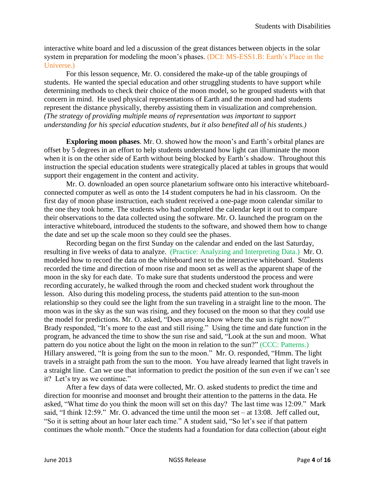interactive white board and led a discussion of the great distances between objects in the solar system in preparation for modeling the moon's phases. (DCI: MS-ESS1.B: Earth's Place in the Universe.)

For this lesson sequence, Mr. O. considered the make-up of the table groupings of students. He wanted the special education and other struggling students to have support while determining methods to check their choice of the moon model, so he grouped students with that concern in mind. He used physical representations of Earth and the moon and had students represent the distance physically, thereby assisting them in visualization and comprehension. *(The strategy of providing multiple means of representation was important to support understanding for his special education students, but it also benefited all of his students.)*

**Exploring moon phases**. Mr. O. showed how the moon's and Earth's orbital planes are offset by 5 degrees in an effort to help students understand how light can illuminate the moon when it is on the other side of Earth without being blocked by Earth's shadow. Throughout this instruction the special education students were strategically placed at tables in groups that would support their engagement in the content and activity.

Mr. O. downloaded an open source planetarium software onto his interactive whiteboardconnected computer as well as onto the 14 student computers he had in his classroom. On the first day of moon phase instruction, each student received a one-page moon calendar similar to the one they took home. The students who had completed the calendar kept it out to compare their observations to the data collected using the software. Mr. O. launched the program on the interactive whiteboard, introduced the students to the software, and showed them how to change the date and set up the scale moon so they could see the phases.

Recording began on the first Sunday on the calendar and ended on the last Saturday, resulting in five weeks of data to analyze. (Practice: Analyzing and Interpreting Data.) Mr. O. modeled how to record the data on the whiteboard next to the interactive whiteboard. Students recorded the time and direction of moon rise and moon set as well as the apparent shape of the moon in the sky for each date. To make sure that students understood the process and were recording accurately, he walked through the room and checked student work throughout the lesson. Also during this modeling process, the students paid attention to the sun-moon relationship so they could see the light from the sun traveling in a straight line to the moon. The moon was in the sky as the sun was rising, and they focused on the moon so that they could use the model for predictions. Mr. O. asked, "Does anyone know where the sun is right now?" Brady responded, "It's more to the east and still rising." Using the time and date function in the program, he advanced the time to show the sun rise and said, "Look at the sun and moon. What pattern do you notice about the light on the moon in relation to the sun?" (CCC: Patterns.) Hillary answered, "It is going from the sun to the moon." Mr. O. responded, "Hmm. The light travels in a straight path from the sun to the moon. You have already learned that light travels in a straight line. Can we use that information to predict the position of the sun even if we can't see it? Let's try as we continue."

After a few days of data were collected, Mr. O. asked students to predict the time and direction for moonrise and moonset and brought their attention to the patterns in the data. He asked, "What time do you think the moon will set on this day? The last time was 12:09." Mark said, "I think 12:59." Mr. O. advanced the time until the moon set – at 13:08. Jeff called out, "So it is setting about an hour later each time." A student said, "So let's see if that pattern continues the whole month." Once the students had a foundation for data collection (about eight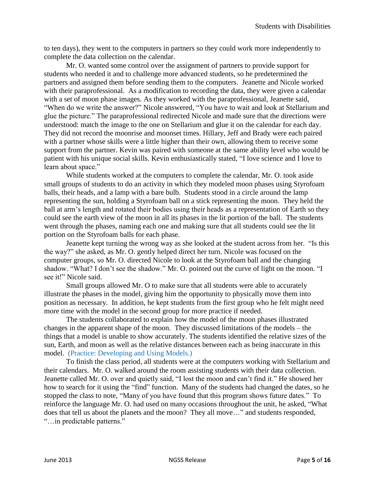to ten days), they went to the computers in partners so they could work more independently to complete the data collection on the calendar.

Mr. O. wanted some control over the assignment of partners to provide support for students who needed it and to challenge more advanced students, so he predetermined the partners and assigned them before sending them to the computers. Jeanette and Nicole worked with their paraprofessional. As a modification to recording the data, they were given a calendar with a set of moon phase images. As they worked with the paraprofessional, Jeanette said, "When do we write the answer?" Nicole answered, "You have to wait and look at Stellarium and glue the picture." The paraprofessional redirected Nicole and made sure that the directions were understood: match the image to the one on Stellarium and glue it on the calendar for each day. They did not record the moonrise and moonset times. Hillary, Jeff and Brady were each paired with a partner whose skills were a little higher than their own, allowing them to receive some support from the partner. Kevin was paired with someone at the same ability level who would be patient with his unique social skills. Kevin enthusiastically stated, "I love science and I love to learn about space."

While students worked at the computers to complete the calendar, Mr. O. took aside small groups of students to do an activity in which they modeled moon phases using Styrofoam balls, their heads, and a lamp with a bare bulb. Students stood in a circle around the lamp representing the sun, holding a Styrofoam ball on a stick representing the moon. They held the ball at arm's length and rotated their bodies using their heads as a representation of Earth so they could see the earth view of the moon in all its phases in the lit portion of the ball. The students went through the phases, naming each one and making sure that all students could see the lit portion on the Styrofoam balls for each phase.

Jeanette kept turning the wrong way as she looked at the student across from her. "Is this the way?" she asked, as Mr. O. gently helped direct her turn. Nicole was focused on the computer groups, so Mr. O. directed Nicole to look at the Styrofoam ball and the changing shadow. "What? I don't see the shadow." Mr. O. pointed out the curve of light on the moon. "I see it!" Nicole said.

Small groups allowed Mr. O to make sure that all students were able to accurately illustrate the phases in the model, giving him the opportunity to physically move them into position as necessary. In addition, he kept students from the first group who he felt might need more time with the model in the second group for more practice if needed.

The students collaborated to explain how the model of the moon phases illustrated changes in the apparent shape of the moon. They discussed limitations of the models – the things that a model is unable to show accurately. The students identified the relative sizes of the sun, Earth, and moon as well as the relative distances between each as being inaccurate in this model. (Practice: Developing and Using Models.)

To finish the class period, all students were at the computers working with Stellarium and their calendars. Mr. O. walked around the room assisting students with their data collection. Jeanette called Mr. O. over and quietly said, "I lost the moon and can't find it." He showed her how to search for it using the "find" function. Many of the students had changed the dates, so he stopped the class to note, "Many of you have found that this program shows future dates." To reinforce the language Mr. O. had used on many occasions throughout the unit, he asked, "What does that tell us about the planets and the moon? They all move…" and students responded, "…in predictable patterns."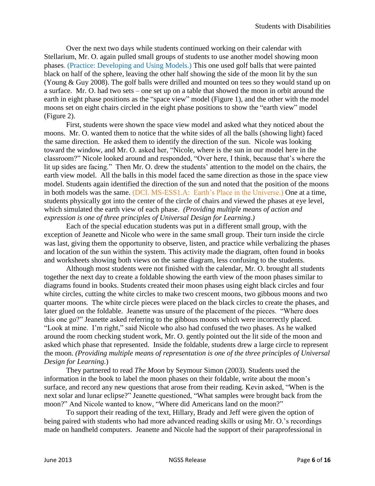Over the next two days while students continued working on their calendar with Stellarium, Mr. O. again pulled small groups of students to use another model showing moon phases. (Practice: Developing and Using Models.) This one used golf balls that were painted black on half of the sphere, leaving the other half showing the side of the moon lit by the sun (Young & Guy 2008). The golf balls were drilled and mounted on tees so they would stand up on a surface. Mr. O. had two sets – one set up on a table that showed the moon in orbit around the earth in eight phase positions as the "space view" model (Figure 1), and the other with the model moons set on eight chairs circled in the eight phase positions to show the "earth view" model (Figure 2).

First, students were shown the space view model and asked what they noticed about the moons. Mr. O. wanted them to notice that the white sides of all the balls (showing light) faced the same direction. He asked them to identify the direction of the sun. Nicole was looking toward the window, and Mr. O. asked her, "Nicole, where is the sun in our model here in the classroom?" Nicole looked around and responded, "Over here, I think, because that's where the lit up sides are facing." Then Mr. O. drew the students' attention to the model on the chairs, the earth view model. All the balls in this model faced the same direction as those in the space view model. Students again identified the direction of the sun and noted that the position of the moons in both models was the same. (DCI. MS-ESS1.A: Earth's Place in the Universe.) One at a time, students physically got into the center of the circle of chairs and viewed the phases at eye level, which simulated the earth view of each phase. *(Providing multiple means of action and expression is one of three principles of Universal Design for Learning.)*

Each of the special education students was put in a different small group, with the exception of Jeanette and Nicole who were in the same small group. Their turn inside the circle was last, giving them the opportunity to observe, listen, and practice while verbalizing the phases and location of the sun within the system. This activity made the diagram, often found in books and worksheets showing both views on the same diagram, less confusing to the students.

Although most students were not finished with the calendar, Mr. O. brought all students together the next day to create a foldable showing the earth view of the moon phases similar to diagrams found in books. Students created their moon phases using eight black circles and four white circles, cutting the white circles to make two crescent moons, two gibbous moons and two quarter moons. The white circle pieces were placed on the black circles to create the phases, and later glued on the foldable. Jeanette was unsure of the placement of the pieces. "Where does this one go?" Jeanette asked referring to the gibbous moons which were incorrectly placed. "Look at mine. I'm right," said Nicole who also had confused the two phases. As he walked around the room checking student work, Mr. O. gently pointed out the lit side of the moon and asked which phase that represented. Inside the foldable, students drew a large circle to represent the moon. *(Providing multiple means of representation is one of the three principles of Universal Design for Learning.*)

They partnered to read *The Moon* by Seymour Simon (2003). Students used the information in the book to label the moon phases on their foldable, write about the moon's surface, and record any new questions that arose from their reading. Kevin asked, "When is the next solar and lunar eclipse?" Jeanette questioned, "What samples were brought back from the moon?" And Nicole wanted to know, "Where did Americans land on the moon?"

To support their reading of the text, Hillary, Brady and Jeff were given the option of being paired with students who had more advanced reading skills or using Mr. O.'s recordings made on handheld computers. Jeanette and Nicole had the support of their paraprofessional in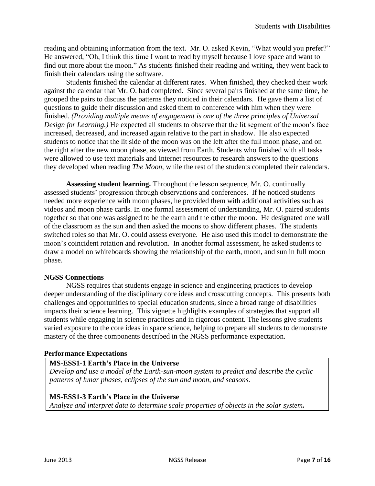reading and obtaining information from the text. Mr. O. asked Kevin, "What would you prefer?" He answered, "Oh, I think this time I want to read by myself because I love space and want to find out more about the moon." As students finished their reading and writing, they went back to finish their calendars using the software.

Students finished the calendar at different rates. When finished, they checked their work against the calendar that Mr. O. had completed. Since several pairs finished at the same time, he grouped the pairs to discuss the patterns they noticed in their calendars. He gave them a list of questions to guide their discussion and asked them to conference with him when they were finished. *(Providing multiple means of engagement is one of the three principles of Universal Design for Learning.)* He expected all students to observe that the lit segment of the moon's face increased, decreased, and increased again relative to the part in shadow. He also expected students to notice that the lit side of the moon was on the left after the full moon phase, and on the right after the new moon phase, as viewed from Earth. Students who finished with all tasks were allowed to use text materials and Internet resources to research answers to the questions they developed when reading *The Moon*, while the rest of the students completed their calendars.

**Assessing student learning.** Throughout the lesson sequence, Mr. O. continually assessed students' progression through observations and conferences. If he noticed students needed more experience with moon phases, he provided them with additional activities such as videos and moon phase cards. In one formal assessment of understanding, Mr. O. paired students together so that one was assigned to be the earth and the other the moon. He designated one wall of the classroom as the sun and then asked the moons to show different phases. The students switched roles so that Mr. O. could assess everyone. He also used this model to demonstrate the moon's coincident rotation and revolution. In another formal assessment, he asked students to draw a model on whiteboards showing the relationship of the earth, moon, and sun in full moon phase.

# **NGSS Connections**

NGSS requires that students engage in science and engineering practices to develop deeper understanding of the disciplinary core ideas and crosscutting concepts. This presents both challenges and opportunities to special education students, since a broad range of disabilities impacts their science learning. This vignette highlights examples of strategies that support all students while engaging in science practices and in rigorous content. The lessons give students varied exposure to the core ideas in space science, helping to prepare all students to demonstrate mastery of the three components described in the NGSS performance expectation.

## **Performance Expectations**

# **MS-ESS1-1 Earth's Place in the Universe**

*Develop and use a model of the Earth-sun-moon system to predict and describe the cyclic patterns of lunar phases, eclipses of the sun and moon, and seasons.*

# **MS-ESS1-3 Earth's Place in the Universe**

*Analyze and interpret data to determine scale properties of objects in the solar system.*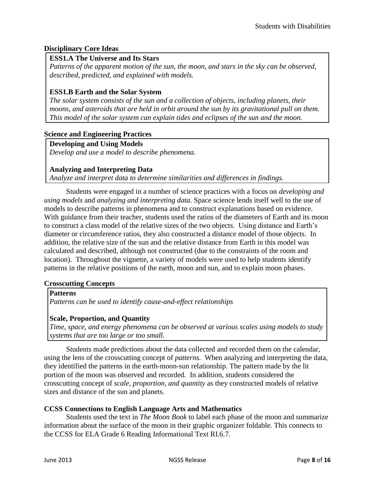# **Disciplinary Core Ideas**

# **ESS1.A The Universe and Its Stars**

*Patterns of the apparent motion of the sun, the moon, and stars in the sky can be observed, described, predicted, and explained with models.*

# **ESS1.B Earth and the Solar System**

*The solar system consists of the sun and a collection of objects, including planets, their moons, and asteroids that are held in orbit around the sun by its gravitational pull on them. This model of the solar system can explain tides and eclipses of the sun and the moon.*

# **Science and Engineering Practices**

**Developing and Using Models** *Develop and use a model to describe phenomena.*

# **Analyzing and Interpreting Data**

*Analyze and interpret data to determine similarities and differences in findings.*

Students were engaged in a number of science practices with a focus on *developing and using models* and *analyzing and interpreting data.* Space science lends itself well to the use of models to describe patterns in phenomena and to construct explanations based on evidence. With guidance from their teacher, students used the ratios of the diameters of Earth and its moon to construct a class model of the relative sizes of the two objects. Using distance and Earth's diameter or circumference ratios, they also constructed a distance model of those objects. In addition, the relative size of the sun and the relative distance from Earth in this model was calculated and described, although not constructed (due to the constraints of the room and location). Throughout the vignette, a variety of models were used to help students identify patterns in the relative positions of the earth, moon and sun, and to explain moon phases.

# **Crosscutting Concepts**

**Patterns** *Patterns can be used to identify cause-and-effect relationships*

# **Scale, Proportion, and Quantity**

*Time, space, and energy phenomena can be observed at various scales using models to study systems that are too large or too small.*

Students made predictions about the data collected and recorded them on the calendar, using the lens of the crosscutting concept of *patterns.* When analyzing and interpreting the data, they identified the patterns in the earth-moon-sun relationship. The pattern made by the lit portion of the moon was observed and recorded. In addition, students considered the crosscutting concept of *scale, proportion, and quantity* as they constructed models of relative sizes and distance of the sun and planets.

# **CCSS Connections to English Language Arts and Mathematics**

Students used the text in *The Moon Book* to label each phase of the moon and summarize information about the surface of the moon in their graphic organizer foldable. This connects to the CCSS for ELA Grade 6 Reading Informational Text RI.6.7*.*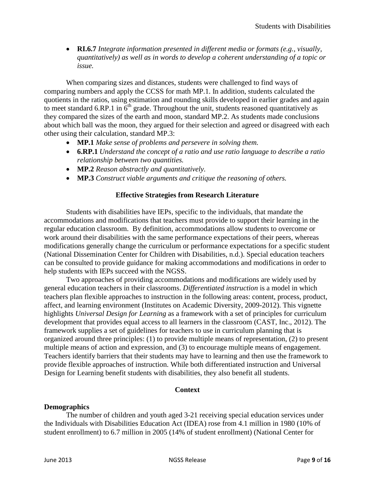**RI.6.7** *Integrate information presented in different media or formats (e.g., visually, quantitatively) as well as in words to develop a coherent understanding of a topic or issue.*

When comparing sizes and distances, students were challenged to find ways of comparing numbers and apply the CCSS for math MP.1. In addition, students calculated the quotients in the ratios, using estimation and rounding skills developed in earlier grades and again to meet standard 6.RP.1 in  $6<sup>th</sup>$  grade. Throughout the unit, students reasoned quantitatively as they compared the sizes of the earth and moon, standard MP.2. As students made conclusions about which ball was the moon, they argued for their selection and agreed or disagreed with each other using their calculation, standard MP.3:

- **MP.1** *Make sense of problems and persevere in solving them.*
- **6.RP.1** *Understand the concept of a ratio and use ratio language to describe a ratio relationship between two quantities.*
- **MP.2** *Reason abstractly and quantitatively.*
- **MP.3** *Construct viable arguments and critique the reasoning of others.*

#### **Effective Strategies from Research Literature**

Students with disabilities have IEPs, specific to the individuals, that mandate the accommodations and modifications that teachers must provide to support their learning in the regular education classroom. By definition, accommodations allow students to overcome or work around their disabilities with the same performance expectations of their peers, whereas modifications generally change the curriculum or performance expectations for a specific student (National Dissemination Center for Children with Disabilities, n.d.). Special education teachers can be consulted to provide guidance for making accommodations and modifications in order to help students with IEPs succeed with the NGSS.

Two approaches of providing accommodations and modifications are widely used by general education teachers in their classrooms. *Differentiated instruction* is a model in which teachers plan flexible approaches to instruction in the following areas: content, process, product, affect, and learning environment (Institutes on Academic Diversity, 2009-2012). This vignette highlights *Universal Design for Learning* as a framework with a set of principles for curriculum development that provides equal access to all learners in the classroom (CAST, Inc., 2012). The framework supplies a set of guidelines for teachers to use in curriculum planning that is organized around three principles: (1) to provide multiple means of representation, (2) to present multiple means of action and expression, and (3) to encourage multiple means of engagement. Teachers identify barriers that their students may have to learning and then use the framework to provide flexible approaches of instruction. While both differentiated instruction and Universal Design for Learning benefit students with disabilities, they also benefit all students.

## **Context**

#### **Demographics**

The number of children and youth aged 3-21 receiving special education services under the Individuals with Disabilities Education Act (IDEA) rose from 4.1 million in 1980 (10% of student enrollment) to 6.7 million in 2005 (14% of student enrollment) (National Center for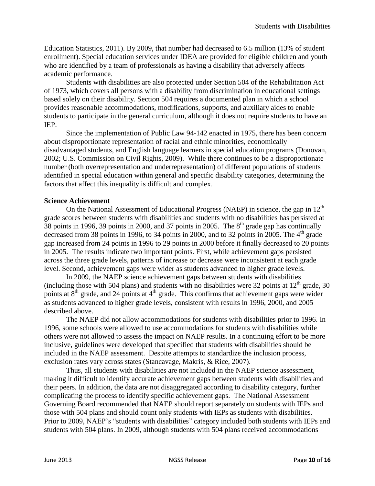Education Statistics, 2011). By 2009, that number had decreased to 6.5 million (13% of student enrollment). Special education services under IDEA are provided for eligible children and youth who are identified by a team of professionals as having a disability that adversely affects academic performance.

Students with disabilities are also protected under Section 504 of the Rehabilitation Act of 1973, which covers all persons with a disability from discrimination in educational settings based solely on their disability. Section 504 requires a documented plan in which a school provides reasonable accommodations, modifications, supports, and auxiliary aides to enable students to participate in the general curriculum, although it does not require students to have an IEP.

Since the implementation of Public Law 94-142 enacted in 1975, there has been concern about disproportionate representation of racial and ethnic minorities, economically disadvantaged students, and English language learners in special education programs (Donovan, 2002; U.S. Commission on Civil Rights, 2009).While there continues to be a disproportionate number (both overrepresentation and underrepresentation) of different populations of students identified in special education within general and specific disability categories, determining the factors that affect this inequality is difficult and complex.

# **Science Achievement**

On the National Assessment of Educational Progress (NAEP) in science, the gap in  $12<sup>th</sup>$ grade scores between students with disabilities and students with no disabilities has persisted at 38 points in 1996, 39 points in 2000, and 37 points in 2005. The  $8<sup>th</sup>$  grade gap has continually decreased from 38 points in 1996, to 34 points in 2000, and to 32 points in 2005. The  $4<sup>th</sup>$  grade gap increased from 24 points in 1996 to 29 points in 2000 before it finally decreased to 20 points in 2005. The results indicate two important points. First, while achievement gaps persisted across the three grade levels, patterns of increase or decrease were inconsistent at each grade level. Second, achievement gaps were wider as students advanced to higher grade levels.

In 2009, the NAEP science achievement gaps between students with disabilities (including those with 504 plans) and students with no disabilities were 32 points at  $12^{th}$  grade, 30 points at  $8<sup>th</sup>$  grade, and 24 points at  $4<sup>th</sup>$  grade. This confirms that achievement gaps were wider as students advanced to higher grade levels, consistent with results in 1996, 2000, and 2005 described above.

The NAEP did not allow accommodations for students with disabilities prior to 1996. In 1996, some schools were allowed to use accommodations for students with disabilities while others were not allowed to assess the impact on NAEP results. In a continuing effort to be more inclusive, guidelines were developed that specified that students with disabilities should be included in the NAEP assessment. Despite attempts to standardize the inclusion process, exclusion rates vary across states (Stancavage, Makris, & Rice, 2007).

Thus, all students with disabilities are not included in the NAEP science assessment, making it difficult to identify accurate achievement gaps between students with disabilities and their peers. In addition, the data are not disaggregated according to disability category, further complicating the process to identify specific achievement gaps. The National Assessment Governing Board recommended that NAEP should report separately on students with IEPs and those with 504 plans and should count only students with IEPs as students with disabilities. Prior to 2009, NAEP's "students with disabilities" category included both students with IEPs and students with 504 plans. In 2009, although students with 504 plans received accommodations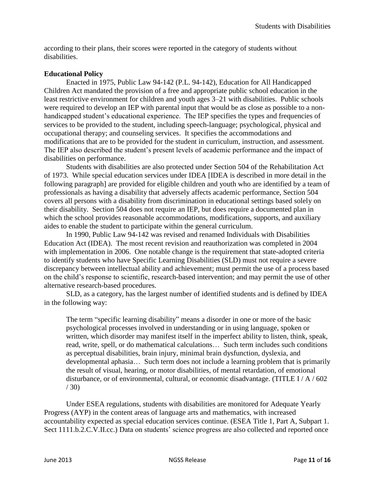according to their plans, their scores were reported in the category of students without disabilities.

# **Educational Policy**

Enacted in 1975, Public Law 94-142 (P.L. 94-142), Education for All Handicapped Children Act mandated the provision of a free and appropriate public school education in the least restrictive environment for children and youth ages 3–21 with disabilities. Public schools were required to develop an IEP with parental input that would be as close as possible to a nonhandicapped student's educational experience. The IEP specifies the types and frequencies of services to be provided to the student, including speech-language; psychological, physical and occupational therapy; and counseling services. It specifies the accommodations and modifications that are to be provided for the student in curriculum, instruction, and assessment. The IEP also described the student's present levels of academic performance and the impact of disabilities on performance.

Students with disabilities are also protected under Section 504 of the Rehabilitation Act of 1973. While special education services under IDEA [IDEA is described in more detail in the following paragraph] are provided for eligible children and youth who are identified by a team of professionals as having a disability that adversely affects academic performance, Section 504 covers all persons with a disability from discrimination in educational settings based solely on their disability. Section 504 does not require an IEP, but does require a documented plan in which the school provides reasonable accommodations, modifications, supports, and auxiliary aides to enable the student to participate within the general curriculum.

In 1990, Public Law 94-142 was revised and renamed Individuals with Disabilities Education Act (IDEA). The most recent revision and reauthorization was completed in 2004 with implementation in 2006. One notable change is the requirement that state-adopted criteria to identify students who have Specific Learning Disabilities (SLD) must not require a severe discrepancy between intellectual ability and achievement; must permit the use of a process based on the child's response to scientific, research-based intervention; and may permit the use of other alternative research-based procedures.

SLD, as a category, has the largest number of identified students and is defined by IDEA in the following way:

The term "specific learning disability" means a disorder in one or more of the basic psychological processes involved in understanding or in using language, spoken or written, which disorder may manifest itself in the imperfect ability to listen, think, speak, read, write, spell, or do mathematical calculations… Such term includes such conditions as perceptual disabilities, brain injury, minimal brain dysfunction, dyslexia, and developmental aphasia… Such term does not include a learning problem that is primarily the result of visual, hearing, or motor disabilities, of mental retardation, of emotional disturbance, or of environmental, cultural, or economic disadvantage. (TITLE [I](http://idea.ed.gov/explore/view/p/%2Croot%2Cstatute%2CI%2C) / [A](http://idea.ed.gov/explore/view/p/%2Croot%2Cstatute%2CI%2CA%2C) / [602](http://idea.ed.gov/explore/view/p/%2Croot%2Cstatute%2CI%2CA%2C602%2C)  $/ 30)$ 

Under ESEA regulations, students with disabilities are monitored for Adequate Yearly Progress (AYP) in the content areas of language arts and mathematics, with increased accountability expected as special education services continue. (ESEA Title 1, Part A, Subpart 1. Sect 1111.b.2.C.V.II.cc.) Data on students' science progress are also collected and reported once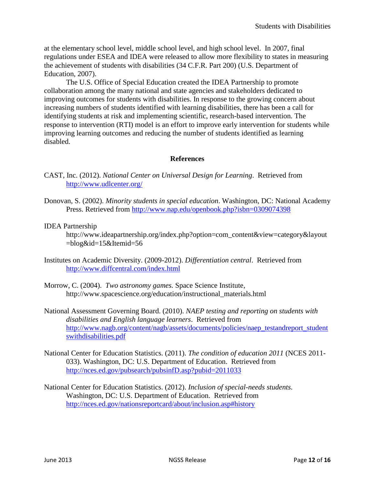at the elementary school level, middle school level, and high school level. In 2007, final regulations under ESEA and IDEA were released to allow more flexibility to states in measuring the achievement of students with disabilities (34 C.F.R. Part 200) (U.S. Department of Education, 2007).

The U.S. Office of Special Education created the IDEA Partnership to promote collaboration among the many national and state agencies and stakeholders dedicated to improving outcomes for students with disabilities. In response to the growing concern about increasing numbers of students identified with learning disabilities, there has been a call for identifying students at risk and implementing scientific, research-based intervention. The response to intervention (RTI) model is an effort to improve early intervention for students while improving learning outcomes and reducing the number of students identified as learning disabled.

# **References**

- CAST, Inc. (2012). *National Center on Universal Design for Learning*. Retrieved from <http://www.udlcenter.org/>
- Donovan, S. (2002). *Minority students in special education*. Washington, DC: National Academy Press. Retrieved from<http://www.nap.edu/openbook.php?isbn=0309074398>

# IDEA Partnership

http://www.ideapartnership.org/index.php?option=com\_content&view=category&layout =blog&id=15&Itemid=56

- Institutes on Academic Diversity. (2009-2012). *Differentiation central*. Retrieved from <http://www.diffcentral.com/index.html>
- Morrow, C. (2004). *Two astronomy games.* Space Science Institute, http://www.spacescience.org/education/instructional\_materials.html
- National Assessment Governing Board. (2010). *NAEP testing and reporting on students with disabilities and English language learners*. Retrieved from [http://www.nagb.org/content/nagb/assets/documents/policies/naep\\_testandreport\\_student](http://www.nagb.org/content/nagb/assets/documents/policies/naep_testandreport_studentswithdisabilities.pdf)\_ [swithdisabilities.pdf](http://www.nagb.org/content/nagb/assets/documents/policies/naep_testandreport_studentswithdisabilities.pdf)
- National Center for Education Statistics. (2011). *The condition of education 2011* (NCES 2011- 033). Washington, DC: U.S. Department of Education. Retrieved from [http://nces.ed.gov/pubsearch/pubsinfD.asp?pubid=2011033](http://nces.ed.gov/pubsearch/pubsinfo.asp?pubid=2011033)
- National Center for Education Statistics. (2012). *Inclusion of special-needs students*. Washington, DC: U.S. Department of Education. Retrieved from <http://nces.ed.gov/nationsreportcard/about/inclusion.asp#history>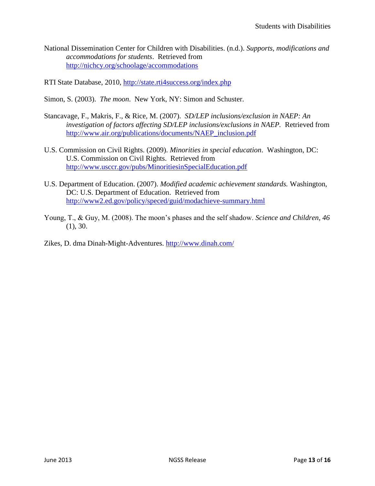- National Dissemination Center for Children with Disabilities. (n.d.). *Supports, modifications and accommodations for students*. Retrieved from <http://nichcy.org/schoolage/accommodations>
- RTI State Database, 2010,<http://state.rti4success.org/index.php>
- Simon, S. (2003). *The moon*. New York, NY: Simon and Schuster.
- Stancavage, F., Makris, F., & Rice, M. (2007). *SD/LEP inclusions/exclusion in NAEP: An investigation of factors affecting SD/LEP inclusions/exclusions in NAEP.* Retrieved from [http://www.air.org/publications/documents/NAEP\\_inclusion.pdf](http://www.air.org/publications/documents/NAEP_inclusion.pdf)
- U.S. Commission on Civil Rights. (2009). *Minorities in special education*. Washington, DC: U.S. Commission on Civil Rights. Retrieved from <http://www.usccr.gov/pubs/MinoritiesinSpecialEducation.pdf>
- U.S. Department of Education. (2007). *Modified academic achievement standards.* Washington, DC: U.S. Department of Education. Retrieved from <http://www2.ed.gov/policy/speced/guid/modachieve-summary.html>
- Young, T., & Guy, M. (2008). The moon's phases and the self shadow. *Science and Children*, *46*  (1), 30.

Zikes, D. dma Dinah-Might-Adventures.<http://www.dinah.com/>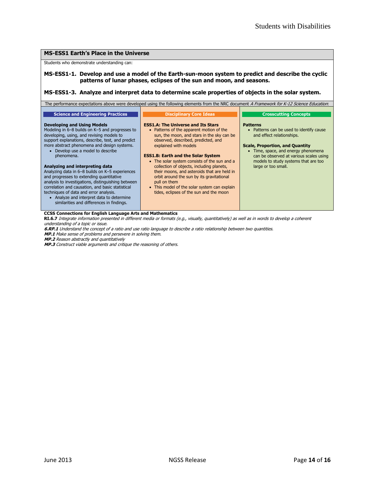#### **MS-ESS1 Earth's Place in the Universe** Students who demonstrate understanding can: **MS-ESS1-1. Develop and use a model of the Earth-sun-moon system to predict and describe the cyclic patterns of lunar phases, eclipses of the sun and moon, and seasons. MS-ESS1-3. Analyze and interpret data to determine scale properties of objects in the solar system.** The performance expectations above were developed using the following elements from the NRC document A Framework for K-12 Science Education: **Science and Engineering Practices Developing and Using Models** Modeling in 6–8 builds on K–5 and progresses to developing, using, and revising models to support explanations, describe, test, and predict more abstract phenomena and design systems. Develop use a model to describe phenomena. **Analyzing and interpreting data** Analyzing data in 6–8 builds on K–5 experiences and progresses to extending quantitative analysis to investigations, distinguishing between correlation and causation, and basic statistical techniques of data and error analysis. Analyze and interpret data to determine similarities and differences in findings. **Disciplinary Core Ideas ESS1.A: The Universe and Its Stars** • Patterns of the apparent motion of the sun, the moon, and stars in the sky can be observed, described, predicted, and explained with models **ESS1.B: Earth and the Solar System** The solar system consists of the sun and a collection of objects, including planets, their moons, and asteroids that are held in orbit around the sun by its gravitational pull on them • This model of the solar system can explain tides, eclipses of the sun and the moon **Crosscutting Concepts Patterns** • Patterns can be used to identify cause and effect relationships. **Scale, Proportion, and Quantity** • Time, space, and energy phenomena can be observed at various scales using models to study systems that are too large or too small.

#### **CCSS Connections for English Language Arts and Mathematics**

**RI.6.7** Integrate information presented in different media or formats (e.g., visually, quantitatively) as well as in words to develop a coherent understanding of a topic or issue.

**6.RP.1** Understand the concept of a ratio and use ratio language to describe a ratio relationship between two quantities.

**MP.1** Make sense of problems and persevere in solving them.

**MP.2** Reason abstractly and quantitatively

**MP.3** Construct viable arguments and critique the reasoning of others.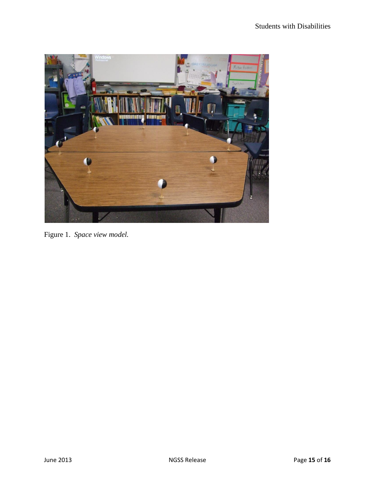

Figure 1. *Space view model.*